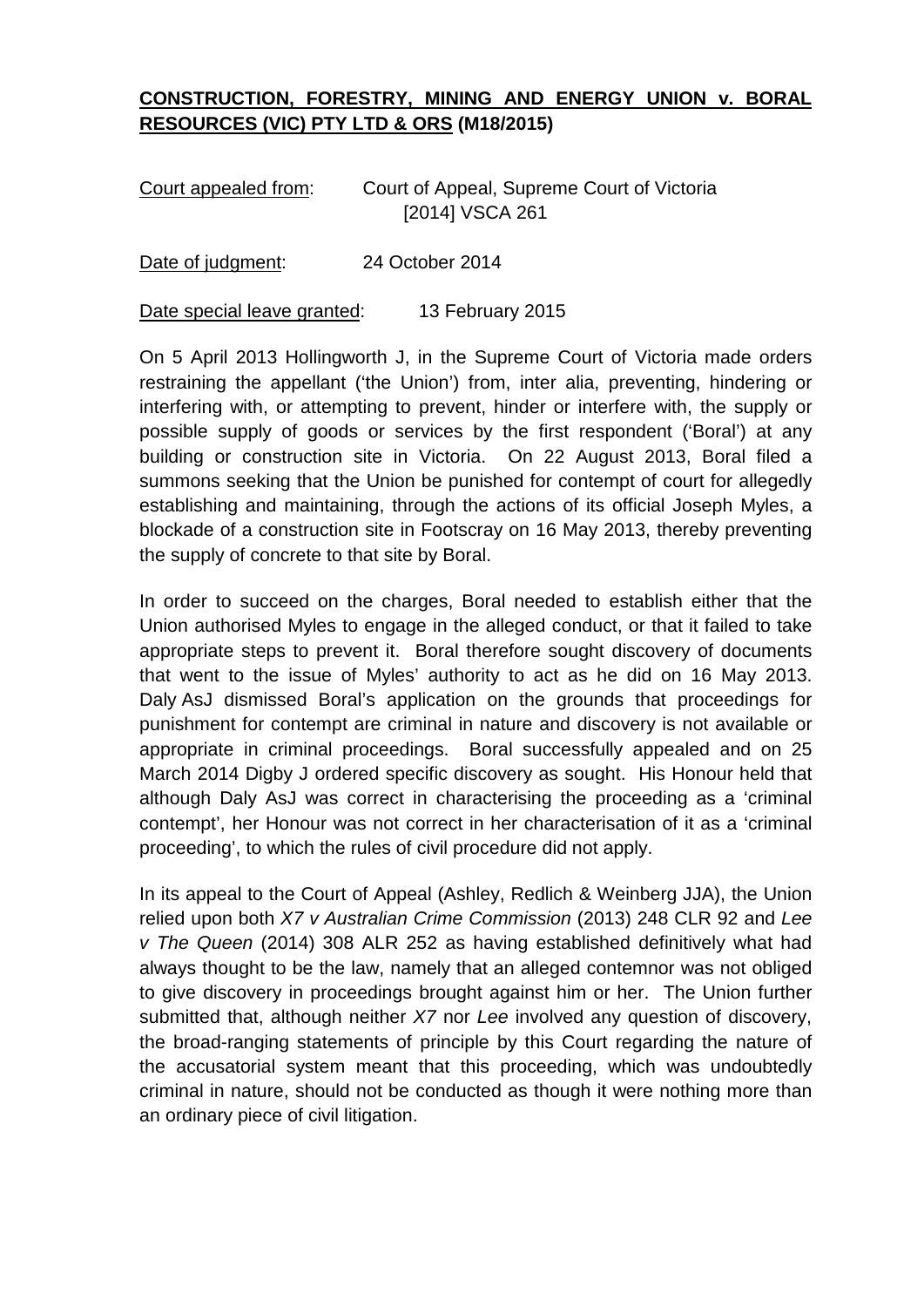## **CONSTRUCTION, FORESTRY, MINING AND ENERGY UNION v. BORAL RESOURCES (VIC) PTY LTD & ORS (M18/2015)**

| Court appealed from: | Court of Appeal, Supreme Court of Victoria |
|----------------------|--------------------------------------------|
|                      | [2014] VSCA 261                            |

Date of judgment: 24 October 2014

Date special leave granted: 13 February 2015

On 5 April 2013 Hollingworth J, in the Supreme Court of Victoria made orders restraining the appellant ('the Union') from, inter alia, preventing, hindering or interfering with, or attempting to prevent, hinder or interfere with, the supply or possible supply of goods or services by the first respondent ('Boral') at any building or construction site in Victoria. On 22 August 2013, Boral filed a summons seeking that the Union be punished for contempt of court for allegedly establishing and maintaining, through the actions of its official Joseph Myles, a blockade of a construction site in Footscray on 16 May 2013, thereby preventing the supply of concrete to that site by Boral.

In order to succeed on the charges, Boral needed to establish either that the Union authorised Myles to engage in the alleged conduct, or that it failed to take appropriate steps to prevent it. Boral therefore sought discovery of documents that went to the issue of Myles' authority to act as he did on 16 May 2013. Daly AsJ dismissed Boral's application on the grounds that proceedings for punishment for contempt are criminal in nature and discovery is not available or appropriate in criminal proceedings. Boral successfully appealed and on 25 March 2014 Digby J ordered specific discovery as sought. His Honour held that although Daly AsJ was correct in characterising the proceeding as a 'criminal contempt', her Honour was not correct in her characterisation of it as a 'criminal proceeding', to which the rules of civil procedure did not apply.

In its appeal to the Court of Appeal (Ashley, Redlich & Weinberg JJA), the Union relied upon both *X7 v Australian Crime Commission* (2013) 248 CLR 92 and *Lee v The Queen* (2014) 308 ALR 252 as having established definitively what had always thought to be the law, namely that an alleged contemnor was not obliged to give discovery in proceedings brought against him or her. The Union further submitted that, although neither *X7* nor *Lee* involved any question of discovery, the broad-ranging statements of principle by this Court regarding the nature of the accusatorial system meant that this proceeding, which was undoubtedly criminal in nature, should not be conducted as though it were nothing more than an ordinary piece of civil litigation.